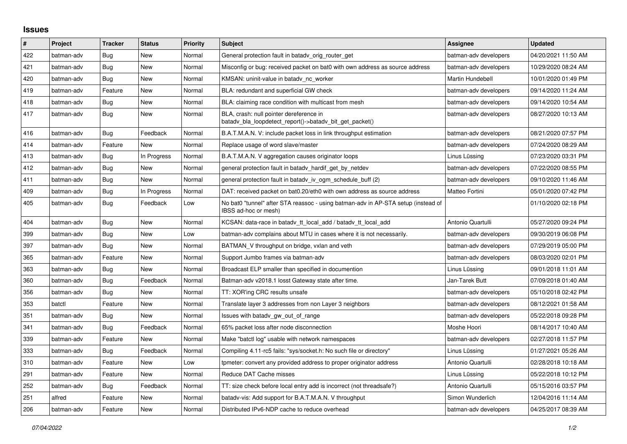## **Issues**

| $\#$ | Project    | <b>Tracker</b> | <b>Status</b> | <b>Priority</b> | <b>Subject</b>                                                                                            | <b>Assignee</b>       | <b>Updated</b>      |
|------|------------|----------------|---------------|-----------------|-----------------------------------------------------------------------------------------------------------|-----------------------|---------------------|
| 422  | batman-adv | Bug            | <b>New</b>    | Normal          | General protection fault in batady orig router get                                                        | batman-adv developers | 04/20/2021 11:50 AM |
| 421  | batman-adv | Bug            | New           | Normal          | Misconfig or bug: received packet on bat0 with own address as source address                              | batman-adv developers | 10/29/2020 08:24 AM |
| 420  | batman-adv | Bug            | New           | Normal          | KMSAN: uninit-value in batady nc worker                                                                   | Martin Hundebøll      | 10/01/2020 01:49 PM |
| 419  | batman-adv | Feature        | New           | Normal          | BLA: redundant and superficial GW check                                                                   | batman-adv developers | 09/14/2020 11:24 AM |
| 418  | batman-adv | Bug            | <b>New</b>    | Normal          | BLA: claiming race condition with multicast from mesh                                                     | batman-adv developers | 09/14/2020 10:54 AM |
| 417  | batman-adv | Bug            | New           | Normal          | BLA, crash: null pointer dereference in<br>batady bla loopdetect report()->batady bit get packet()        | batman-adv developers | 08/27/2020 10:13 AM |
| 416  | batman-adv | Bug            | Feedback      | Normal          | B.A.T.M.A.N. V: include packet loss in link throughput estimation                                         | batman-adv developers | 08/21/2020 07:57 PM |
| 414  | batman-adv | Feature        | <b>New</b>    | Normal          | Replace usage of word slave/master                                                                        | batman-adv developers | 07/24/2020 08:29 AM |
| 413  | batman-adv | Bug            | In Progress   | Normal          | B.A.T.M.A.N. V aggregation causes originator loops                                                        | Linus Lüssing         | 07/23/2020 03:31 PM |
| 412  | batman-adv | <b>Bug</b>     | New           | Normal          | general protection fault in batadv_hardif_get_by_netdev                                                   | batman-adv developers | 07/22/2020 08:55 PM |
| 411  | batman-adv | Bug            | <b>New</b>    | Normal          | general protection fault in batady iv ogm schedule buff (2)                                               | batman-adv developers | 09/10/2020 11:46 AM |
| 409  | batman-adv | Bug            | In Progress   | Normal          | DAT: received packet on bat0.20/eth0 with own address as source address                                   | Matteo Fortini        | 05/01/2020 07:42 PM |
| 405  | batman-adv | Bug            | Feedback      | Low             | No bat0 "tunnel" after STA reassoc - using batman-adv in AP-STA setup (instead of<br>IBSS ad-hoc or mesh) |                       | 01/10/2020 02:18 PM |
| 404  | batman-adv | Bug            | New           | Normal          | KCSAN: data-race in batady_tt_local_add / batady_tt_local_add                                             | Antonio Quartulli     | 05/27/2020 09:24 PM |
| 399  | batman-adv | <b>Bug</b>     | <b>New</b>    | Low             | batman-adv complains about MTU in cases where it is not necessarily.                                      | batman-adv developers | 09/30/2019 06:08 PM |
| 397  | batman-adv | Bug            | New           | Normal          | BATMAN V throughput on bridge, vxlan and veth                                                             | batman-adv developers | 07/29/2019 05:00 PM |
| 365  | batman-adv | Feature        | New           | Normal          | Support Jumbo frames via batman-adv                                                                       | batman-adv developers | 08/03/2020 02:01 PM |
| 363  | batman-adv | Bug            | <b>New</b>    | Normal          | Broadcast ELP smaller than specified in documention                                                       | Linus Lüssing         | 09/01/2018 11:01 AM |
| 360  | batman-adv | Bug            | Feedback      | Normal          | Batman-adv v2018.1 losst Gateway state after time.                                                        | Jan-Tarek Butt        | 07/09/2018 01:40 AM |
| 356  | batman-adv | Bug            | New           | Normal          | TT: XOR'ing CRC results unsafe                                                                            | batman-adv developers | 05/10/2018 02:42 PM |
| 353  | batctl     | Feature        | <b>New</b>    | Normal          | Translate layer 3 addresses from non Layer 3 neighbors                                                    | batman-adv developers | 08/12/2021 01:58 AM |
| 351  | batman-adv | Bug            | New           | Normal          | Issues with batady gw_out_of_range                                                                        | batman-adv developers | 05/22/2018 09:28 PM |
| 341  | batman-adv | Bug            | Feedback      | Normal          | 65% packet loss after node disconnection                                                                  | Moshe Hoori           | 08/14/2017 10:40 AM |
| 339  | batman-adv | Feature        | New           | Normal          | Make "batctl log" usable with network namespaces                                                          | batman-adv developers | 02/27/2018 11:57 PM |
| 333  | batman-adv | Bug            | Feedback      | Normal          | Compiling 4.11-rc5 fails: "sys/socket.h: No such file or directory"                                       | Linus Lüssing         | 01/27/2021 05:26 AM |
| 310  | batman-adv | Feature        | New           | Low             | tpmeter: convert any provided address to proper originator address                                        | Antonio Quartulli     | 02/28/2018 10:18 AM |
| 291  | batman-adv | Feature        | New           | Normal          | Reduce DAT Cache misses                                                                                   | Linus Lüssing         | 05/22/2018 10:12 PM |
| 252  | batman-adv | <b>Bug</b>     | Feedback      | Normal          | TT: size check before local entry add is incorrect (not threadsafe?)                                      | Antonio Quartulli     | 05/15/2016 03:57 PM |
| 251  | alfred     | Feature        | New           | Normal          | batady-vis: Add support for B.A.T.M.A.N. V throughput                                                     | Simon Wunderlich      | 12/04/2016 11:14 AM |
| 206  | batman-adv | Feature        | New           | Normal          | Distributed IPv6-NDP cache to reduce overhead                                                             | batman-adv developers | 04/25/2017 08:39 AM |